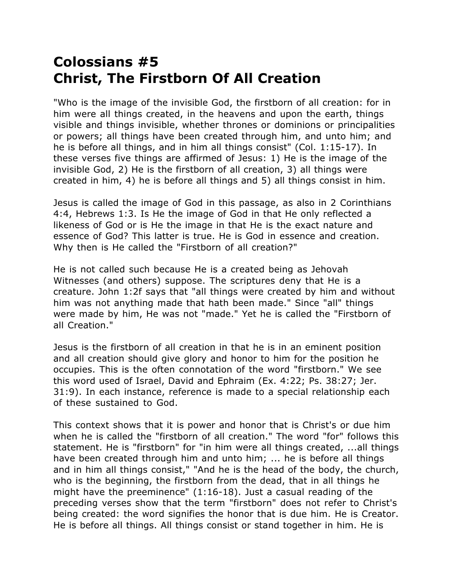## **Colossians #5 Christ, The Firstborn Of All Creation**

"Who is the image of the invisible God, the firstborn of all creation: for in him were all things created, in the heavens and upon the earth, things visible and things invisible, whether thrones or dominions or principalities or powers; all things have been created through him, and unto him; and he is before all things, and in him all things consist" (Col. 1:15-17). In these verses five things are affirmed of Jesus: 1) He is the image of the invisible God, 2) He is the firstborn of all creation, 3) all things were created in him, 4) he is before all things and 5) all things consist in him.

Jesus is called the image of God in this passage, as also in 2 Corinthians 4:4, Hebrews 1:3. Is He the image of God in that He only reflected a likeness of God or is He the image in that He is the exact nature and essence of God? This latter is true. He is God in essence and creation. Why then is He called the "Firstborn of all creation?"

He is not called such because He is a created being as Jehovah Witnesses (and others) suppose. The scriptures deny that He is a creature. John 1:2f says that "all things were created by him and without him was not anything made that hath been made." Since "all" things were made by him, He was not "made." Yet he is called the "Firstborn of all Creation."

Jesus is the firstborn of all creation in that he is in an eminent position and all creation should give glory and honor to him for the position he occupies. This is the often connotation of the word "firstborn." We see this word used of Israel, David and Ephraim (Ex. 4:22; Ps. 38:27; Jer. 31:9). In each instance, reference is made to a special relationship each of these sustained to God.

This context shows that it is power and honor that is Christ's or due him when he is called the "firstborn of all creation." The word "for" follows this statement. He is "firstborn" for "in him were all things created, ...all things have been created through him and unto him; ... he is before all things and in him all things consist," "And he is the head of the body, the church, who is the beginning, the firstborn from the dead, that in all things he might have the preeminence" (1:16-18). Just a casual reading of the preceding verses show that the term "firstborn" does not refer to Christ's being created: the word signifies the honor that is due him. He is Creator. He is before all things. All things consist or stand together in him. He is